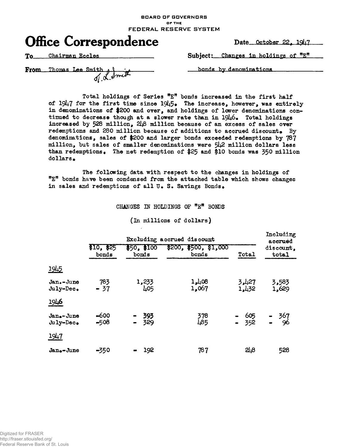**BOARD OF GOVERNORS OF THE FEDERAL RESERVE SYSTEM**



**Date October 22, 1QJ|7**

**To. Chairman Eccles**

Subject: Changes in holdings of "E"

**From** Thomas Lee Smith  $\frac{1}{\sqrt{2}}$  and

bonds by denominations

Total holdings of Series  ${}^{\text{m}}E$ <sup>m</sup> bonds increased in the first half **of I9I4.7 for the first time since I9k5\* The increase, however, was entirely in denominations of {200 and over, and holdings of lower denominations continued to decrease though at a slower rate than in 19lj.6# Total holdings** increased by 528 million,  $2\mu\beta$  million because of an excess of sales over **redemptions and 280 million because of additions to accrued discount\* By denominations, sales of \$200 and larger bonds exceeded redemptions by 787 million, but sales of smaller denominations were 5k2 million dollars less** than redemptions. The net redemption of \$25 and \$10 bonds was 350 million **dollars\***

**The following data with respect to the changes in holdings of nE <sup>n</sup> bonds have been condensed from the attached table which shows changes in sales and redemptions of all U» S» Savings Bonds •**

# **CHANGES IN HOLDINGS OF <sup>w</sup>E n BONDS**

#### **(In millions of dollars)**

|                        |                     | Including<br>accrued                                   |                |                |                    |  |
|------------------------|---------------------|--------------------------------------------------------|----------------|----------------|--------------------|--|
|                        | \$10, \$25<br>bonds | \$50, \$100<br>\$200, \$500, \$1,000<br>bonds<br>bonds |                | Total          | discount,<br>total |  |
| 1945                   |                     |                                                        |                |                |                    |  |
| Jan.-June<br>July-Dec. | 783<br>$-37$        | 1,233<br>405                                           | 1,108<br>1,067 | 3,427<br>1,432 | 3,583<br>1,629     |  |
| <u>1946</u>            |                     |                                                        |                |                |                    |  |
| Jan.-June<br>July-Dec. | $-600$<br>$-508$    | 393<br>329                                             | 378<br>485     | 605<br>$-352$  | 367<br>96          |  |
| 1947                   |                     |                                                        |                |                |                    |  |
| Jan.-June              | $-350$              | 192<br>$\bullet$                                       | 787            | 218            | 528                |  |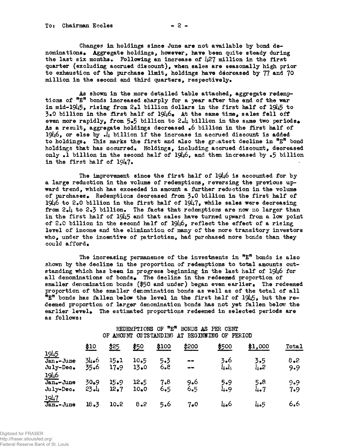As shown in the more detailed table attached, aggregate redemptions of "E" bonds increased sharply for a year after the end of the war in mid-1945, rising from 2.1 billion dollars in the first half of 1945 to  $3*0$  billion in the first half of  $19\mu6$ . At the same time, sales fell off even more rapidly, from 5.5 billion to 2.4 billion in the same two periods. As a result, aggregate holdings decreased  $\bullet$ 6 billion in the first half of 19 $\mu$ 6, or else by  $\Pi$  billion if the increase in accrued discount is added to holdings. This marks the first and also the greatest decline in "E" bond holdings that has occurred. Holdings, including accrued discount, decreased only .1 billion in the second half of  $19\mu$ 6, and then increased by .5 billion in the first half of  $1947.$ 

The improvement since the first half of 1946 is accounted for by a large reduction in the volume of redemptions, reversing the previous upward trend, which has exceeded in amount a further reduction in the volume of purchases. Redemptions decreased from 3.0 billion in the first half of 1946 to 2.0 billion in the first half of 1947, while sales were decreasing from  $2.4$  to  $2.3$  billion. The facts that redemptions are now no larger than in the first half of  $1945$  and that sales have turned upward from a low point of 2.0 billion in the second half of  $19\mu6$ , reflect the effect of a rising level of income and the elimination of many of the more transitory investors who, under the incentive of patriotism, had purchased more bonds than they could afford.

The increasing permanence of the investments in  ${}^{\text{m}}\mathbb{E}^{\text{m}}$  bonds is also shown by the decline in the proportion of redemptions to total amounts outstanding which has been in progress beginning in the last half of 1946 for all denominations of bonds. The decline in the redeemed proportion of smaller denomination bonds ( $$50$  and under) began even earlier. The redeemed proportion of the smaller denomination bonds as well as of the total of all  $\bar{m}$  bonds has fallen below the level in the first half of 1945, but the redeemed proportion of larger denomination bonds has not yet fallen below the earlier level. The estimated proportions redeemed in selected periods are as follows:

### REDEMPTIONS OF "E" BONDS AS PER CENT OF AMOUNT OUTSTANDING AT BEGINNING OF PERIOD

|                            | \$10         | \$25         | ҉\$50        | \$100      | ‡200                         | ≸500       | \$1,000    | Total      |
|----------------------------|--------------|--------------|--------------|------------|------------------------------|------------|------------|------------|
| <u> 1945 </u><br>Jan.-June | 34.6         | 15.1         | 10.5         | 5.3        | $\qquad \qquad \blacksquare$ | 3.6        | 3.5        | 8.2        |
| July-Dec.<br>1946          | 35.6         | 17.9         | 13.0         | 6.8        | $\qquad \qquad \blacksquare$ | لململة     | 4•2        | 9.9        |
| Jan.-June<br>July-Dec.     | 30.9<br>23.1 | 15.9<br>12.7 | 12.5<br>10.0 | 7.8<br>6.5 | 9.6<br>6.5                   | 5.9<br>4.9 | 5.8<br>4.7 | 9.9<br>7.9 |
| 1947<br>Jan. - June        | 18.3         | 10.2         | 8.2          | 5.6        | 7∙0                          | 4.6        | 4.5        | 6.6        |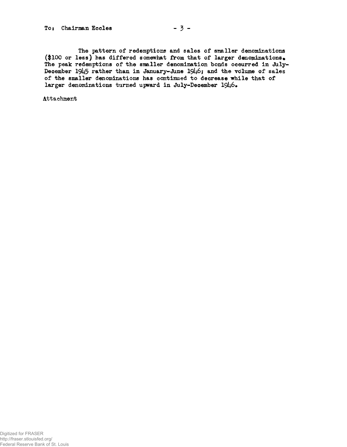# To: Chairman Eccles  $-3$  -

**The pattern of redemptions and sales of smaller denominations (\$100 or less) has differed somewhat from that of larger denominations• The peak redemptions of the smaller denomination bonds occurred in July-**December 1945 rather than in January-June 1946; and the volume of sales **of the smaller denominations has continued to decrease while that of larger denominations turned upward in July-December**

**Attachment**